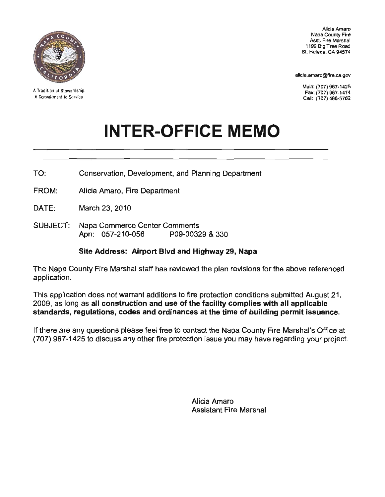

A Tradition of Stewardship A Commitment to Service

Alicia Amaro Napa County Fire Asst. Fire Marshal 1199 Big Tree Road St. Helena, CA 94574

alicia.amaro@fire.ca.gov

DATE:

SUBJECT:

 $\overline{a}$ 

Main: (707) 967-1425 Fax: (707) 967-1474 Cell: (707) 486-5782

 $\overline{\phantom{0}}$ 

## **INTER-OFFICE MEMO**

 $\overline{a}$ 

The

—<br>g [ there nt, and Planning De<sub>l</sub> ini<br>. ne<br>Irt TO:

FROM: Alicia Amaro. Fire Department

DATF: March 23, 2010

r Co<br>. SUBJECT: Apn: 057-210-056

## 29, <mark>Nap</mark><br>Literatur Marshal g<br>gl r<br>اvا other

If

 $\overline{a}$ 

re  $\cdot$ t d<br>Department<br>Department feel th<br>i id<br>E has<br>E application.

ans to fire protection conditions submitted Augustical and the facility correlation with all provisor in In construction and use of the facility complies with all applicable<br>Itions, codes and ordinances at the time of building permit issuar<br>estions please feel free to contact the Napa County Fire Marshal's Off si<br>iti ns<br>v<br>ld n<br>C the ditions to fire protection<br>**d**iuse of the fa<br>cordinances at 2009, as all construction and Plan<br>2009, and High evel of the faces at the time standards, regulations, regulations, regulations, regulations, regulations, regulations, regulations, regulations, regulations, regulations, r u<br>u<br>d ə<br>ul<br>q

p<br>Department<br>Department y<br>w ia<sub>.</sub> at the un<br>act the Na<br>nissue yo  $f$ ree questions please feel free<br>to discuss any other fire p

> Alicia Amaro<br>Assistant Fire Marshal ci<br>si